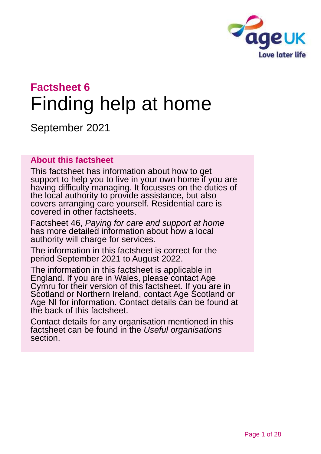

# **Factsheet 6** Finding help at home

September 2021

#### **About this factsheet**

This factsheet has information about how to get support to help you to live in your own home if you are having difficulty managing. It focusses on the duties of the local authority to provide assistance, but also covers arranging care yourself. Residential care is covered in other factsheets.

Factsheet 46, *[Paying for care and support at home](https://www.ageuk.org.uk/globalassets/age-uk/documents/factsheets/fs46_paying_for_care_and_support_at_home_fcs.pdf)* has more detailed information about how a local authority will charge for services*.*

The information in this factsheet is correct for the period September 2021 to August 2022.

The information in this factsheet is applicable in England. [If you are in Wales, please contact](#page-26-0) Age Cymru for their [version of this factsheet.](#page-26-0) If you are in Scotland or Northern Ireland, contact Age Scotland or Age NI for information. Contact details can be found at the back of this factsheet.

Contact details for any organisation mentioned in this factsheet can be found in the *[Useful organisations](#page-22-0)* section.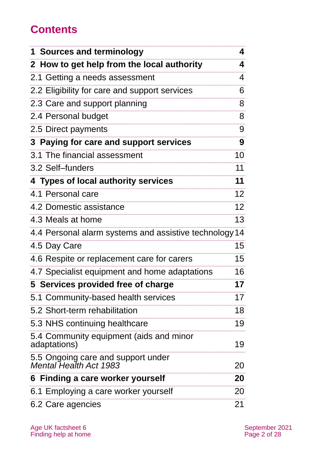## **Contents**

| 1 Sources and terminology                                    | 4               |
|--------------------------------------------------------------|-----------------|
| 2 How to get help from the local authority                   | 4               |
| 2.1 Getting a needs assessment                               | 4               |
| 2.2 Eligibility for care and support services                | 6               |
| 2.3 Care and support planning                                | 8               |
| 2.4 Personal budget                                          | 8               |
| 2.5 Direct payments                                          | 9               |
| 3 Paying for care and support services                       | 9               |
| 3.1 The financial assessment                                 | 10              |
| 3.2 Self-funders                                             | 11              |
| 4 Types of local authority services                          | 11              |
| 4.1 Personal care                                            | 12 <sub>2</sub> |
| 4.2 Domestic assistance                                      | 12 <sub>2</sub> |
| 4.3 Meals at home                                            | 13              |
| 4.4 Personal alarm systems and assistive technology 14       |                 |
| 4.5 Day Care                                                 | 15              |
| 4.6 Respite or replacement care for carers                   | 15              |
| 4.7 Specialist equipment and home adaptations                | 16              |
| 5 Services provided free of charge                           | 17              |
| 5.1 Community-based health services                          | 17              |
| 5.2 Short-term rehabilitation                                | 18              |
| 5.3 NHS continuing healthcare                                | 19              |
| 5.4 Community equipment (aids and minor<br>adaptations)      | 19              |
| 5.5 Ongoing care and support under<br>Mental Health Act 1983 | 20              |
| 6 Finding a care worker yourself                             | 20              |
| 6.1 Employing a care worker yourself                         | 20              |
| 6.2 Care agencies                                            | 21              |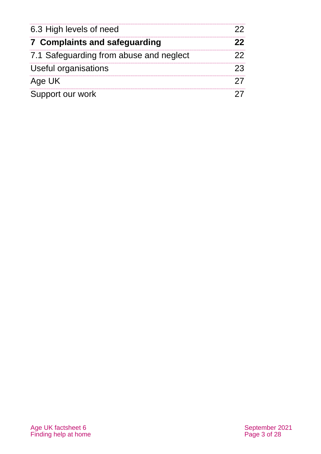| 6.3 High levels of need<br>7 Complaints and safeguarding | 22. |
|----------------------------------------------------------|-----|
|                                                          |     |
| Useful organisations                                     |     |
| Age UK                                                   |     |
| Support our work                                         |     |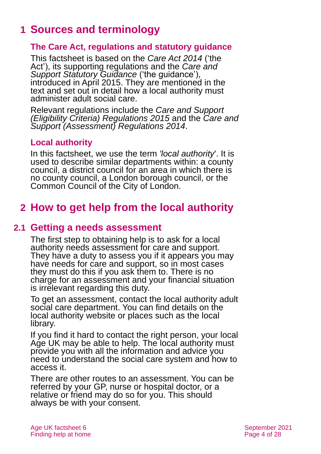## <span id="page-3-0"></span>**1 Sources and terminology**

#### **The Care Act, regulations and statutory guidance**

This factsheet is based on the *[Care Act 2014](https://www.legislation.gov.uk/ukpga/2014/23/contents)* ('the Act'), its supporting regulations and the *[Care and](https://www.gov.uk/government/publications/care-act-statutory-guidance/care-and-support-statutory-guidance)  [Support Statutory Guidance](https://www.gov.uk/government/publications/care-act-statutory-guidance/care-and-support-statutory-guidance)* ('the guidance'), introduced in April 2015. They are mentioned in the text and set out in detail how a local authority must administer adult social care.

Relevant regulations include the *[Care and Support](http://www.legislation.gov.uk/uksi/2015/313/contents/made)  [\(Eligibility Criteria\) Regulations 2015](http://www.legislation.gov.uk/uksi/2015/313/contents/made)* and the *[Care and](http://www.legislation.gov.uk/uksi/2014/2827/contents/made)  [Support \(Assessment\) Regulations 2014](http://www.legislation.gov.uk/uksi/2014/2827/contents/made)*.

#### **Local authority**

In this factsheet, we use the term *'local authority*'. It is used to describe similar departments within: a county council, a district council for an area in which there is no county council, a London borough council, or the Common Council of the City of London.

## <span id="page-3-2"></span><span id="page-3-1"></span>**2 How to get help from the local authority**

### **2.1 Getting a needs assessment**

The first step to obtaining help is to ask for a local authority needs assessment for care and support. They have a duty to assess you if it appears you may have needs for care and support, so in most cases they must do this if you ask them to. There is no charge for an assessment and your financial situation is irrelevant regarding this duty.

To get an assessment, contact the local authority adult social care department. You can find details on the local authority website or places such as the local library.

If you find it hard to contact the right person, your local Age UK may be able to help. The local authority must provide you with all the information and advice you need to understand the social care system and how to access it.

There are other routes to an assessment. You can be referred by your GP, nurse or hospital doctor, or a relative or friend may do so for you. This should always be with your consent.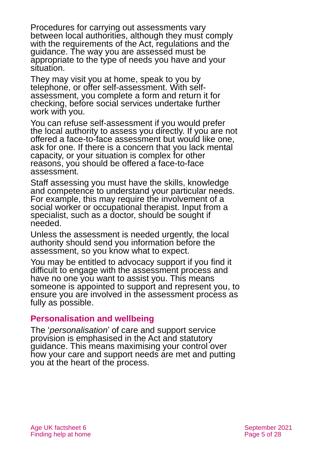Procedures for carrying out assessments vary between local authorities, although they must comply with the requirements of the Act, requipedions and the guidance. The way you are assessed must be appropriate to the type of needs you have and your situation.

They may visit you at home, speak to you by telephone, or offer self-assessment. With selfassessment, you complete a form and return it for checking, before social services undertake further work with you.

You can refuse self-assessment if you would prefer the local authority to assess you directly. If you are not offered a face-to-face assessment but would like one, ask for one. If there is a concern that you lack mental capacity, or your situation is complex for other reasons, you should be offered a face-to-face assessment.

Staff assessing you must have the skills, knowledge and competence to understand your particular needs. For example, this may require the involvement of a social worker or occupational therapist. Input from a specialist, such as a doctor, should be sought if needed.

Unless the assessment is needed urgently, the local authority should send you information before the assessment, so you know what to expect.

You may be entitled to advocacy support if you find it difficult to engage with the assessment process and have no one you want to assist you. This means someone is appointed to support and represent you, to ensure you are involved in the assessment process as fully as possible.

#### **Personalisation and wellbeing**

The '*personalisation*' of care and support service provision is emphasised in the Act and statutory guidance. This means maximising your control over how your care and support needs are met and putting you at the heart of the process.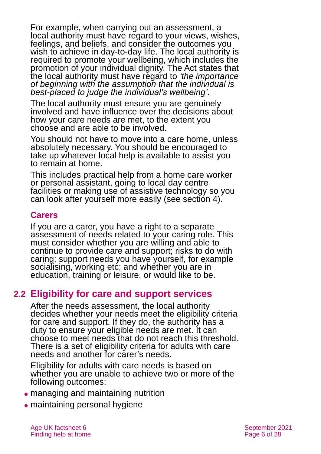For example, when carrying out an assessment, a local authority must have regard to your views, wishes, feelings, and beliefs, and consider the outcomes you wish to achieve in day-to-day life. The local authority is required to promote your wellbeing, which includes the promotion of your individual dignity. The Act states that the local authority must have regard to *'the importance of beginning with the assumption that the individual is best-placed to judge the individual's wellbeing'*.

The local authority must ensure you are genuinely involved and have influence over the decisions about how your care needs are met, to the extent you choose and are able to be involved.

You should not have to move into a care home, unless absolutely necessary. You should be encouraged to take up whatever local help is available to assist you to remain at home.

This includes practical help from a home care worker or personal assistant, going to local day centre facilities or making use of assistive technology so you can look after yourself more easily (see [section 4\)](#page-10-0).

#### **Carers**

If you are a carer, you have a right to a separate assessment of needs related to your caring role. This must consider whether you are willing and able to continue to provide care and support; risks to do with caring; support needs you have yourself, for example socialising, working etc; and whether you are in education, training or leisure, or would like to be.

## **2.2 Eligibility for care and support services**

After the needs assessment, the local authority decides whether your needs meet the eligibility criteria for care and support. If they do, the authority has a duty to ensure your eligible needs are met. It can choose to meet needs that do not reach this threshold. There is a set of eligibility criteria for adults with care needs and another for carer's needs.

Eligibility for adults with care needs is based on whether you are unable to achieve two or more of the following outcomes:

- managing and maintaining nutrition
- maintaining personal hygiene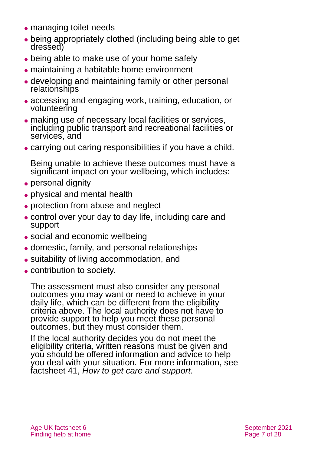- managing toilet needs
- ⚫ being appropriately clothed (including being able to get dressed)
- being able to make use of your home safely
- ⚫ maintaining a habitable home environment
- ⚫ developing and maintaining family or other personal relationships
- ⚫ accessing and engaging work, training, education, or volunteering
- ⚫ making use of necessary local facilities or services, including public transport and recreational facilities or services, and
- ⚫ carrying out caring responsibilities if you have a child.

Being unable to achieve these outcomes must have a significant impact on your wellbeing, which includes:

- ⚫ personal dignity
- ⚫ physical and mental health
- protection from abuse and neglect
- ⚫ control over your day to day life, including care and support
- social and economic wellbeing
- ⚫ domestic, family, and personal relationships
- ⚫ suitability of living accommodation, and
- contribution to society.

The assessment must also consider any personal outcomes you may want or need to achieve in your daily life, which can be different from the eligibility criteria above. The local authority does not have to provide support to help you meet these personal outcomes, but they must consider them.

If the local authority decides you do not meet the eligibility criteria, written reasons must be given and you should be offered information and advice to help you deal with your situation. For more information, see factsheet 41, *[How to get care and support.](https://www.ageuk.org.uk/globalassets/age-uk/documents/factsheets/fs41_how_to_get_care_and_support_fcs.pdf)*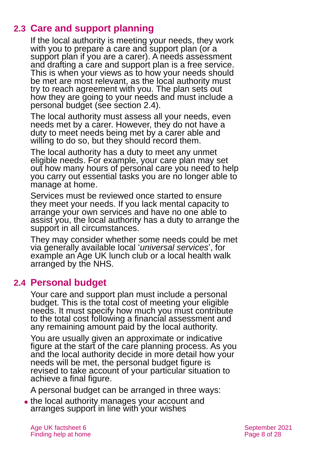## **2.3 Care and support planning**

If the local authority is meeting your needs, they work with you to prepare a care and support plan (or a support plan if you are a carer). A needs assessment and drafting a care and support plan is a free service. This is when your views as to how your needs should be met are most relevant, as the local authority must try to reach agreement with you. The plan sets out how they are going to your needs and must include a personal budget (see [section 2.4\)](#page-7-0).

The local authority must assess all your needs, even needs met by a carer. However, they do not have a duty to meet needs being met by a carer able and willing to do so, but they should record them.

The local authority has a duty to meet any unmet eligible needs. For example, your care plan may set out how many hours of personal care you need to help you carry out essential tasks you are no longer able to manage at home.

Services must be reviewed once started to ensure they meet your needs. If you lack mental capacity to arrange your own services and have no one able to assist you, the local authority has a duty to arrange the support in all circumstances.

They may consider whether some needs could be met via generally available local '*universal services*', for example an Age UK lunch club or a local health walk arranged by the NHS.

### <span id="page-7-0"></span>**2.4 Personal budget**

Your care and support plan must include a personal budget. This is the total cost of meeting your eligible needs. It must specify how much you must contribute to the total cost following a financial assessment and any remaining amount paid by the local authority.

You are usually given an approximate or indicative figure at the start of the care planning process. As you and the local authority decide in more detail how your needs will be met, the personal budget figure is revised to take account of your particular situation to achieve a final figure.

A personal budget can be arranged in three ways:

⚫ the local authority manages your account and arranges support in line with your wishes

Age UK factsheet 6 September 2021 Finding help at home **Page 8 of 28**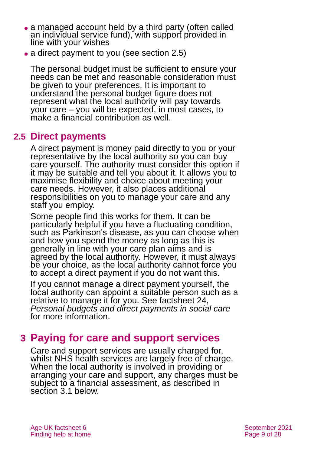- a managed account held by a third party (often called an individual service fund), with support provided in line with your wishes
- a direct payment to you (see [section 2.5\)](#page-8-1)

The personal budget must be sufficient to ensure your needs can be met and reasonable consideration must be given to your preferences. It is important to understand the personal budget figure does not represent what the local authority will pay towards your care – you will be expected, in most cases, to make a financial contribution as well.

## <span id="page-8-1"></span>**2.5 Direct payments**

A direct payment is money paid directly to you or your representative by the local authority so you can buy care yourself. The authority must consider this option if it may be suitable and tell you about it. It allows you to maximise flexibility and choice about meeting your care needs. However, it also places additional responsibilities on you to manage your care and any staff you employ.

Some people find this works for them. It can be particularly helpful if you have a fluctuating condition, such as Parkinson's disease, as you can choose when and how you spend the money as long as this is generally in line with your care plan aims and is agreed by the local authority. However, it must always be your choice, as the local authority cannot force you to accept a direct payment if you do not want this.

If you cannot manage a direct payment yourself, the local authority can appoint a suitable person such as a relative to manage it for you. See factsheet 24, *[Personal budgets and direct payments in social care](https://www.ageuk.org.uk/globalassets/age-uk/documents/factsheets/fs24_personal_budgets_and_direct_payments_in_social_care_fcs.pdf)* for more information.

## <span id="page-8-0"></span>**3 Paying for care and support services**

Care and support services are usually charged for, whilst NHS health services are largely free of charge. When the local authority is involved in providing or arranging your care and support, any charges must be subject to a financial assessment, as described in [section 3.1](#page-9-0) below.

Age UK factsheet 6 September 2021 Finding help at home **Page 9 of 28**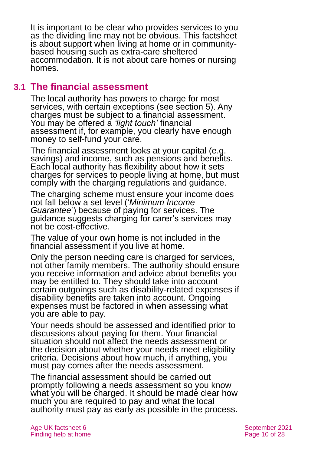It is important to be clear who provides services to you as the dividing line may not be obvious. This factsheet is about support when living at home or in communitybased housing such as extra-care sheltered accommodation. It is not about care homes or nursing homes.

## <span id="page-9-0"></span>**3.1 The financial assessment**

The local authority has powers to charge for most services, with certain exceptions [\(see section 5\)](#page-16-0). Any charges must be subject to a financial assessment. You may be offered a *'light touch'* financial assessment if, for example, you clearly have enough money to self-fund your care.

The financial assessment looks at your capital (e.g. savings) and income, such as pensions and benefits. Each local authority has flexibility about how it sets charges for services to people living at home, but must comply with the charging regulations and guidance.

The charging scheme must ensure your income does not fall below a set level ('*Minimum Income Guarantee*') because of paying for services. The guidance suggests charging for carer's services may not be cost-effective.

The value of your own home is not included in the financial assessment if you live at home.

Only the person needing care is charged for services, not other family members. The authority should ensure you receive information and advice about benefits you may be entitled to. They should take into account certain outgoings such as disability-related expenses if disability benefits are taken into account. Ongoing expenses must be factored in when assessing what you are able to pay.

Your needs should be assessed and identified prior to discussions about paying for them. Your financial situation should not affect the needs assessment or the decision about whether your needs meet eligibility criteria. Decisions about how much, if anything, you must pay comes after the needs assessment.

The financial assessment should be carried out promptly following a needs assessment so you know what you will be charged. It should be made clear how much you are required to pay and what the local authority must pay as early as possible in the process.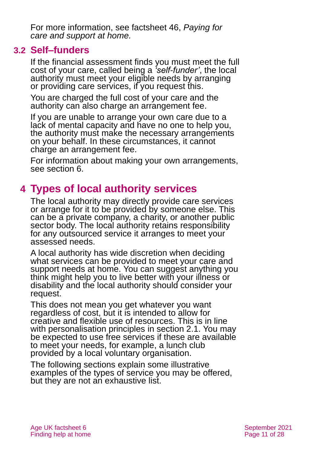For more information, see factsheet 46, *[Paying for](https://www.ageuk.org.uk/globalassets/age-uk/documents/factsheets/fs46_paying_for_care_and_support_at_home_fcs.pdf)  [care and support at home.](https://www.ageuk.org.uk/globalassets/age-uk/documents/factsheets/fs46_paying_for_care_and_support_at_home_fcs.pdf)* 

### **3.2 Self–funders**

If the financial assessment finds you must meet the full cost of your care, called being a *'self-funder'*, the local authority must meet your eligible needs by arranging or providing care services, if you request this.

You are charged the full cost of your care and the authority can also charge an arrangement fee.

If you are unable to arrange your own care due to a lack of mental capacity and have no one to help you, the authority must make the necessary arrangements on your behalf. In these circumstances, it cannot charge an arrangement fee.

For information about making your own arrangements, see [section 6.](#page-19-0)

## <span id="page-10-0"></span>**4 Types of local authority services**

The local authority may directly provide care services or arrange for it to be provided by someone else. This can be a private company, a charity, or another public sector body. The local authority retains responsibility for any outsourced service it arranges to meet your assessed needs.

A local authority has wide discretion when deciding what services can be provided to meet your care and support needs at home. You can suggest anything you think might help you to live better with your illness or disability and the local authority should consider your request.

This does not mean you get whatever you want regardless of cost, but it is intended to allow for creative and flexible use of resources. This is in line with personalisation principles in [section 2.1.](#page-3-2) You may be expected to use free services if these are available to meet your needs, for example, a lunch club provided by a local voluntary organisation.

The following sections explain some illustrative examples of the types of service you may be offered, but they are not an exhaustive list.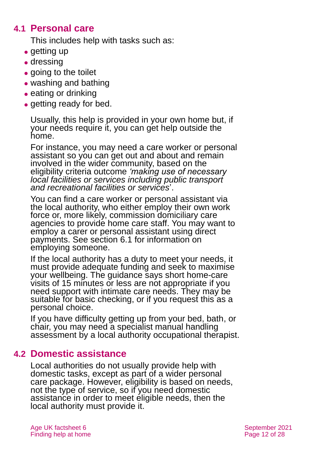## **4.1 Personal care**

This includes help with tasks such as:

- getting up
- dressing
- going to the toilet
- washing and bathing
- eating or drinking
- getting ready for bed.

Usually, this help is provided in your own home but, if your needs require it, you can get help outside the home.

For instance, you may need a care worker or personal assistant so you can get out and about and remain involved in the wider community, based on the eligibility criteria outcome *'making use of necessary local facilities or services including public transport and recreational facilities or services*'.

You can find a care worker or personal assistant via the local authority, who either employ their own work force or, more likely, commission domiciliary care agencies to provide home care staff. You may want to employ a carer or personal assistant using direct payments. See [section 6.1](#page-19-1) for information on employing someone.

If the local authority has a duty to meet your needs, it must provide adequate funding and seek to maximise your wellbeing. The guidance says short home-care visits of 15 minutes or less are not appropriate if you need support with intimate care needs. They may be suitable for basic checking, or if you request this as a personal choice.

If you have difficulty getting up from your bed, bath, or chair, you may need a specialist manual handling assessment by a local authority occupational therapist.

### **4.2 Domestic assistance**

Local authorities do not usually provide help with domestic tasks, except as part of a wider personal care package. However, eligibility is based on needs, not the type of service, so if you need domestic assistance in order to meet eligible needs, then the local authority must provide it.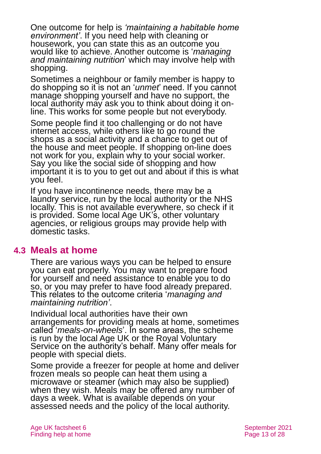One outcome for help is *'maintaining a habitable home environment'*. If you need help with cleaning or housework, you can state this as an outcome you would like to achieve. Another outcome is '*managing and maintaining nutrition*' which may involve help with shopping.

Sometimes a neighbour or family member is happy to do shopping so it is not an '*unmet*' need. If you cannot manage shopping yourself and have no support, the local authority may ask you to think about doing it online. This works for some people but not everybody.

Some people find it too challenging or do not have internet access, while others like to go round the shops as a social activity and a chance to get out of the house and meet people. If shopping on-line does not work for you, explain why to your social worker. Say you like the social side of shopping and how important it is to you to get out and about if this is what you feel.

If you have incontinence needs, there may be a laundry service, run by the local authority or the NHS locally. This is not available everywhere, so check if it is provided. Some local Age UK's, other voluntary agencies, or religious groups may provide help with domestic tasks.

### **4.3 Meals at home**

There are various ways you can be helped to ensure you can eat properly. You may want to prepare food for yourself and need assistance to enable you to do so, or you may prefer to have food already prepared. This relates to the outcome criteria '*managing and maintaining nutrition'*.

Individual local authorities have their own arrangements for providing meals at home, sometimes called '*meals-on-wheels*'. In some areas, the scheme is run by the local Age UK or the Royal Voluntary Service on the authority's behalf. Many offer meals for people with special diets.

Some provide a freezer for people at home and deliver frozen meals so people can heat them using a microwave or steamer (which may also be supplied) when they wish. Meals may be offered any number of days a week. What is available depends on your assessed needs and the policy of the local authority.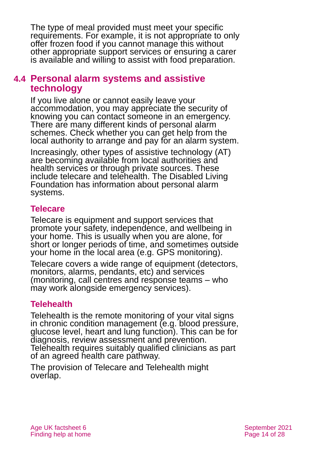The type of meal provided must meet your specific requirements. For example, it is not appropriate to only offer frozen food if you cannot manage this without other appropriate support services or ensuring a carer is available and willing to assist with food preparation.

## **4.4 Personal alarm systems and assistive technology**

If you live alone or cannot easily leave your accommodation, you may appreciate the security of knowing you can contact someone in an emergency. There are many different kinds of personal alarm schemes. Check whether you can get help from the local authority to arrange and pay for an alarm system.

Increasingly, other types of assistive technology (AT) are becoming available from local authorities and health services or through private sources. These include telecare and telehealth. [The Disabled Living](https://www.dlf.org.uk/)  [Foundation](https://www.dlf.org.uk/) has information about [personal alarm](http://www.dlf.org.uk/factsheets/telecare)  [systems.](http://www.dlf.org.uk/factsheets/telecare)

### **Telecare**

Telecare is equipment and support services that promote your safety, independence, and wellbeing in your home. This is usually when you are alone, for short or longer periods of time, and sometimes outside your home in the local area (e.g. GPS monitoring).

Telecare covers a wide range of equipment (detectors, monitors, alarms, pendants, etc) and services (monitoring, call centres and response teams – who may work alongside emergency services).

### **Telehealth**

Telehealth is the remote monitoring of your vital signs in chronic condition management (e.g. blood pressure, glucose level, heart and lung function). This can be for diagnosis, review assessment and prevention. Telehealth requires suitably qualified clinicians as part of an agreed health care pathway.

The provision of Telecare and Telehealth might overlap.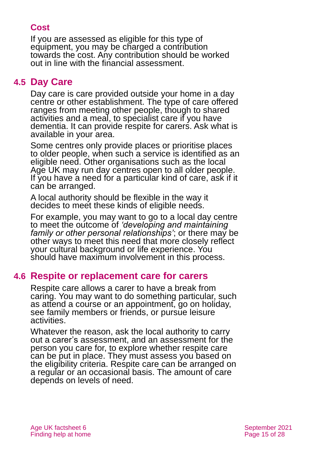## **Cost**

If you are assessed as eligible for this type of equipment, you may be charged a contribution towards the cost. Any contribution should be worked out in line with the financial assessment.

## **4.5 Day Care**

Day care is care provided outside your home in a day centre or other establishment. The type of care offered ranges from meeting other people, though to shared activities and a meal, to specialist care if you have dementia. It can provide respite for carers. Ask what is available in your area.

Some centres only provide places or prioritise places to older people, when such a service is identified as an eligible need. Other organisations such as the local Age UK may run day centres open to all older people. If you have a need for a particular kind of care, ask if it can be arranged.

A local authority should be flexible in the way it decides to meet these kinds of eligible needs.

For example, you may want to go to a local day centre to meet the outcome of *'developing and maintaining family or other personal relationships'*; or there may be other ways to meet this need that more closely reflect your cultural background or life experience. You should have maximum involvement in this process.

## **4.6 Respite or replacement care for carers**

Respite care allows a carer to have a break from caring. You may want to do something particular, such as attend a course or an appointment, go on holiday, see family members or friends, or pursue leisure activities.

Whatever the reason, ask the local authority to carry out a carer's assessment, and an assessment for the person you care for, to explore whether respite care can be put in place. They must assess you based on the eligibility criteria. Respite care can be arranged on a regular or an occasional basis. The amount of care depends on levels of need.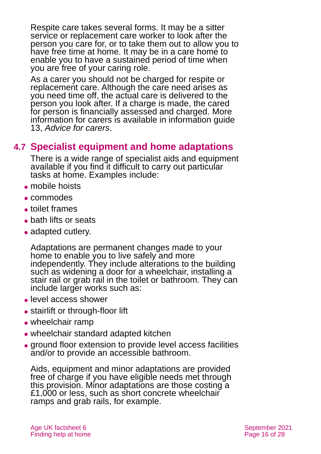Respite care takes several forms. It may be a sitter service or replacement care worker to look after the person you care for, or to take them out to allow you to have free time at home. It may be in a care home to enable you to have a sustained period of time when you are free of your caring role.

As a carer you should not be charged for respite or replacement care. Although the care need arises as you need time off, the actual care is delivered to the person you look after. If a charge is made, the cared for person is financially assessed and charged. More information for carers is available in information guide 13, *[Advice for carers](https://www.ageuk.org.uk/globalassets/age-uk/documents/information-guides/ageukig13_advice_for_carers_inf.pdf)*.

## <span id="page-15-0"></span>**4.7 Specialist equipment and home adaptations**

There is a wide range of specialist aids and equipment available if you find it difficult to carry out particular tasks at home. Examples include:

- mobile hoists
- ⚫ commodes
- ⚫ toilet frames
- bath lifts or seats
- adapted cutlery.

Adaptations are permanent changes made to your home to enable you to live safely and more independently. They include alterations to the building such as widening a door for a wheelchair, installing a stair rail or grab rail in the toilet or bathroom. They can include larger works such as:

- ⚫ level access shower
- stairlift or through-floor lift
- wheelchair ramp
- ⚫ wheelchair standard adapted kitchen
- ⚫ ground floor extension to provide level access facilities and/or to provide an accessible bathroom.

Aids, equipment and minor adaptations are provided free of charge if you have eligible needs met through this provision. Minor adaptations are those costing a £1,000 or less, such as short concrete wheelchair ramps and grab rails, for example.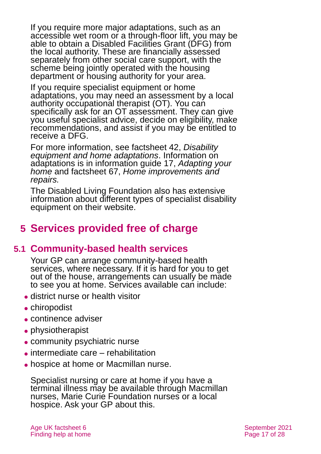If you require more major adaptations, such as an accessible wet room or a through-floor lift, you may be able to obtain a Disabled Facilities Grant (DFG) from the local authority. These are financially assessed separately from other social care support, with the scheme being jointly operated with the housing department or housing authority for your area.

If you require specialist equipment or home adaptations, you may need an assessment by a local authority occupational therapist (OT). You can specifically ask for an OT assessment. They can give you useful specialist advice, decide on eligibility, make recommendations, and assist if you may be entitled to receive a DFG.

For more information, see factsheet 42, *[Disability](https://www.ageuk.org.uk/globalassets/age-uk/documents/factsheets/fs42_disability_equipment_and_home_adaptations_fcs.pdf)  [equipment and home adaptations](https://www.ageuk.org.uk/globalassets/age-uk/documents/factsheets/fs42_disability_equipment_and_home_adaptations_fcs.pdf)*. Information on adaptations is in information guide 17, *[Adapting your](https://www.ageuk.org.uk/globalassets/age-uk/documents/information-guides/ageukig17_adapting_your_home_inf.pdf)  [home](https://www.ageuk.org.uk/globalassets/age-uk/documents/information-guides/ageukig17_adapting_your_home_inf.pdf)* and factsheet 67, *[Home improvements](https://www.ageuk.org.uk/globalassets/age-uk/documents/factsheets/fs67_home_improvements_and_repairs_fcs.pdf) and [repairs.](https://www.ageuk.org.uk/globalassets/age-uk/documents/factsheets/fs67_home_improvements_and_repairs_fcs.pdf)*

The [Disabled Living Foundation](http://www.dlf.org.uk/) also has extensive information about different types of specialist disability equipment on their website.

## <span id="page-16-0"></span>**5 Services provided free of charge**

## **5.1 Community-based health services**

Your GP can arrange community-based health services, where necessary. If it is hard for you to get out of the house, arrangements can usually be made to see you at home. Services available can include:

- ⚫ district nurse or health visitor
- chiropodist
- continence adviser
- physiotherapist
- ⚫ community psychiatric nurse
- ⚫ intermediate care rehabilitation
- ⚫ hospice at home or Macmillan nurse.

Specialist nursing or care at home if you have a terminal illness may be available through Macmillan nurses, Marie Curie Foundation nurses or a local hospice. Ask your GP about this.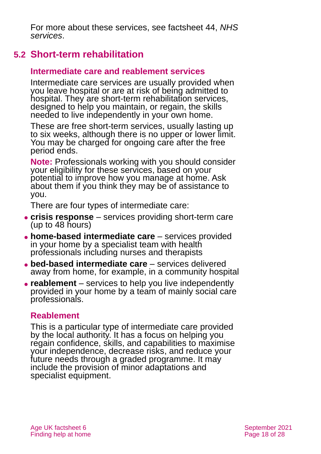For more about these services, see factsheet 44, *[NHS](https://www.ageuk.org.uk/globalassets/age-uk/documents/factsheets/fs44_nhs_services_fcs.pdf)  [services](https://www.ageuk.org.uk/globalassets/age-uk/documents/factsheets/fs44_nhs_services_fcs.pdf)*.

## **5.2 Short-term rehabilitation**

#### **Intermediate care and reablement services**

Intermediate care services are usually provided when you leave hospital or are at risk of being admitted to hospital. They are short-term rehabilitation services, designed to help you maintain, or regain, the skills needed to live independently in your own home.

These are free short-term services, usually lasting up to six weeks, although there is no upper or lower limit. You may be charged for ongoing care after the free period ends.

**Note:** Professionals working with you should consider your eligibility for these services, based on your potential to improve how you manage at home. Ask about them if you think they may be of assistance to you.

There are four types of intermediate care:

- ⚫ **crisis response** services providing short-term care (up to 48 hours)
- ⚫ **home-based intermediate care** services provided in your home by a specialist team with health professionals including nurses and therapists
- ⚫ **bed-based intermediate care** services delivered away from home, for example, in a community hospital
- ⚫ **reablement** services to help you live independently provided in your home by a team of mainly social care professionals.

#### **Reablement**

This is a particular type of intermediate care provided by the local authority. It has a focus on helping you regain confidence, skills, and capabilities to maximise your independence, decrease risks, and reduce your future needs through a graded programme. It may include the provision of minor adaptations and specialist equipment.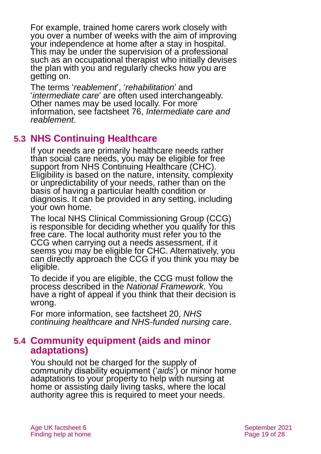For example, trained home carers work closely with you over a number of weeks with the aim of improving your independence at home after a stay in hospital. This may be under the supervision of a professional such as an occupational therapist who initially devises the plan with you and regularly checks how you are getting on.

The terms '*reablement*', '*rehabilitation*' and '*intermediate care*' are often used interchangeably. Other names may be used locally. For more information, see factsheet 76, *[Intermediate care and](https://www.ageuk.org.uk/globalassets/age-uk/documents/factsheets/fs76_intermediate_care_and_reablement_fcs.pdf)  [reablement](https://www.ageuk.org.uk/globalassets/age-uk/documents/factsheets/fs76_intermediate_care_and_reablement_fcs.pdf)*.

## **5.3 NHS Continuing Healthcare**

If your needs are primarily healthcare needs rather than social care needs, you may be eligible for free support from NHS Continuing Healthcare (CHC). Eligibility is based on the nature, intensity, complexity or unpredictability of your needs, rather than on the basis of having a particular health condition or diagnosis. It can be provided in any setting, including your own home.

The local NHS Clinical Commissioning Group (CCG) is responsible for deciding whether you qualify for this free care. The local authority must refer you to the CCG when carrying out a needs assessment, if it seems you may be eligible for CHC. Alternatively, you can directly approach the CCG if you think you may be eligible.

To decide if you are eligible, the CCG must follow the process described in the *National Framework*. You have a right of appeal if you think that their decision is wrong.

For more information, see factsheet 20, *[NHS](https://www.ageuk.org.uk/globalassets/age-uk/documents/factsheets/fs20_nhs_continuing_healthcare_and_nhs-funded_nursing_care_fcs.pdf?dtrk=true)  [continuing healthcare and NHS-funded nursing care](https://www.ageuk.org.uk/globalassets/age-uk/documents/factsheets/fs20_nhs_continuing_healthcare_and_nhs-funded_nursing_care_fcs.pdf?dtrk=true)*.

### **5.4 Community equipment (aids and minor adaptations)**

You should not be charged for the supply of community disability equipment ('*aids*') or minor home adaptations to your property to help with nursing at home or assisting daily living tasks, where the local authority agree this is required to meet your needs.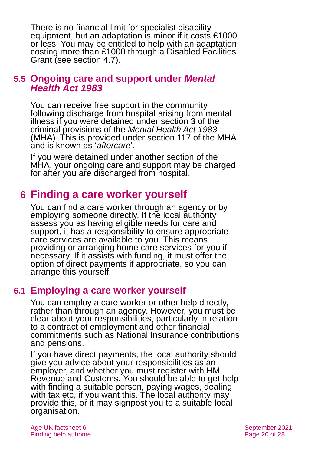There is no financial limit for specialist disability equipment, but an adaptation is minor if it costs £1000 or less. You may be entitled to help with an adaptation costing more than £1000 through a Disabled Facilities Grant (see [section 4.7\)](#page-15-0).

#### **5.5 Ongoing care and support under** *Mental Health Act 1983*

You can receive free support in the community following discharge from hospital arising from mental illness if you were detained under section 3 of the criminal provisions of the *Mental Health Act 1983* (MHA). This is provided under section 117 of the MHA and is known as '*aftercare*'.

If you were detained under another section of the MHA, your ongoing care and support may be charged for after you are discharged from hospital.

## <span id="page-19-0"></span>**6 Finding a care worker yourself**

You can find a care worker through an agency or by employing someone directly. If the local authority assess you as having eligible needs for care and support, it has a responsibility to ensure appropriate care services are available to you. This means providing or arranging home care services for you if necessary. If it assists with funding, it must offer the option of direct payments if appropriate, so you can arrange this yourself.

### <span id="page-19-1"></span>**6.1 Employing a care worker yourself**

You can employ a care worker or other help directly, rather than through an agency. However, you must be clear about your responsibilities, particularly in relation to a contract of employment and other financial commitments such as National Insurance contributions and pensions.

If you have direct payments, the local authority should give you advice about your responsibilities as an employer, and whether you must register with HM Revenue and Customs. You should be able to get help with finding a suitable person, paying wages, dealing with tax etc, if you want this. The local authority may provide this, or it may signpost you to a suitable local organisation.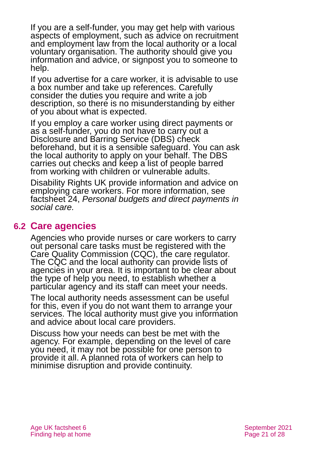If you are a self-funder, you may get help with various aspects of employment, such as advice on recruitment and employment law from the local authority or a local voluntary organisation. The authority should give you information and advice, or signpost you to someone to help.

If you advertise for a care worker, it is advisable to use a box number and take up references. Carefully consider the duties you require and write a job description, so there is no misunderstanding by either of you about what is expected.

If you employ a care worker using direct payments or as a self-funder, you do not have to carry out a Disclosure and Barring Service (DBS) check beforehand, but it is a sensible safeguard. You can ask the local authority to apply on your behalf. The DBS carries out checks and keep a list of people barred from working with children or vulnerable adults.

[Disability Rights UK](https://www.disabilityrightsuk.org/) provide information and advice on [employing care workers.](https://www.disabilityrightsuk.org/being-control-getting-personal-assistants-pas) For more information, see factsheet 24, *[Personal budgets and direct payments in](https://www.ageuk.org.uk/globalassets/age-uk/documents/factsheets/fs24_personal_budgets_and_direct_payments_in_social_care_fcs.pdf)  [social care.](https://www.ageuk.org.uk/globalassets/age-uk/documents/factsheets/fs24_personal_budgets_and_direct_payments_in_social_care_fcs.pdf)*

## **6.2 Care agencies**

Agencies who provide nurses or care workers to carry out personal care tasks must be registered with the Care Quality Commission (CQC), the care regulator. The CQC and the local authority can provide lists of agencies in your area. It is important to be clear about the type of help you need, to establish whether a particular agency and its staff can meet your needs.

The local authority needs assessment can be useful for this, even if you do not want them to arrange your services. The local authority must give you information and advice about local care providers.

Discuss how your needs can best be met with the agency. For example, depending on the level of care you need, it may not be possible for one person to provide it all. A planned rota of workers can help to minimise disruption and provide continuity.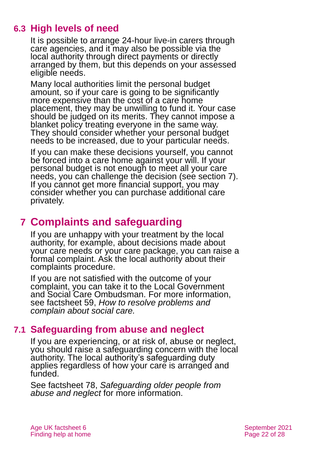## **6.3 High levels of need**

It is possible to arrange 24-hour live-in carers through care agencies, and it may also be possible via the local authority through direct payments or directly arranged by them, but this depends on your assessed eligible needs.

Many local authorities limit the personal budget amount, so if your care is going to be significantly more expensive than the cost of a care home placement, they may be unwilling to fund it. Your case should be judged on its merits. They cannot impose a blanket policy treating everyone in the same way. They should consider whether your personal budget needs to be increased, due to your particular needs.

If you can make these decisions yourself, you cannot be forced into a care home against your will. If your personal budget is not enough to meet all your care needs, you can challenge the decision [\(see section 7\)](#page-21-0). If you cannot get more financial support, you may consider whether you can purchase additional care privately.

## <span id="page-21-0"></span>**7 Complaints and safeguarding**

If you are unhappy with your treatment by the local authority, for example, about decisions made about your care needs or your care package, you can raise a formal complaint. Ask the local authority about their complaints procedure.

If you are not satisfied with the outcome of your complaint, you can take it to the Local Government and Social Care Ombudsman. For more information, see factsheet 59, *How [to resolve problems and](https://www.ageuk.org.uk/globalassets/age-uk/documents/factsheets/fs59_how_to_resolve_problems_and_complain_about_social_care_fcs.pdf)  complain [about social care.](https://www.ageuk.org.uk/globalassets/age-uk/documents/factsheets/fs59_how_to_resolve_problems_and_complain_about_social_care_fcs.pdf)*

## **7.1 Safeguarding from abuse and neglect**

If you are experiencing, or at risk of, abuse or neglect, you should raise a safeguarding concern with the local authority. The local authority's safeguarding duty applies regardless of how your care is arranged and funded.

See factsheet 78, *[Safeguarding older people from](https://www.ageuk.org.uk/globalassets/age-uk/documents/factsheets/fs78_safeguarding_older_people_from_abuse_fcs.pdf)  [abuse and neglect](https://www.ageuk.org.uk/globalassets/age-uk/documents/factsheets/fs78_safeguarding_older_people_from_abuse_fcs.pdf)* for more information.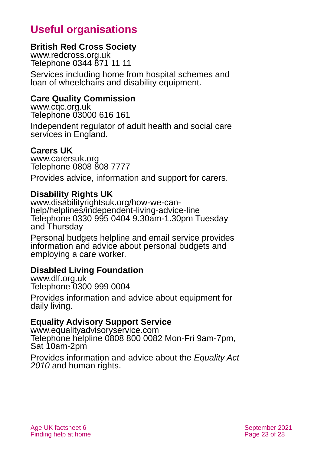## **Useful organisations**

#### <span id="page-22-0"></span>**British Red Cross Society**

[www.redcross.org.uk](http://www.redcross.org.uk/) Telephone 0344 871 11 11

Services including home from hospital schemes and loan of wheelchairs and disability equipment.

#### **Care Quality Commission**

[www.cqc.org.uk](http://www.cqc.org.uk/) Telephone 03000 616 161

Independent regulator of adult health and social care services in England.

#### **Carers UK**

[www.carersuk.org](http://www.carersuk.org/) Telephone 0808 808 7777

Provides advice, information and support for carers.

#### **Disability Rights UK**

[www.disabilityrightsuk.org/how-we-can](http://www.disabilityrightsuk.org/how-we-can-help/helplines/independent-living-advice-line)[help/helplines/independent-living-advice-line](http://www.disabilityrightsuk.org/how-we-can-help/helplines/independent-living-advice-line) Telephone 0330 995 0404 9.30am-1.30pm Tuesday and Thursday

Personal budgets helpline and email service provides information and advice about personal budgets and employing a care worker.

#### **Disabled Living Foundation**

[www.dlf.org.uk](http://www.dlf.org.uk/) Telephone 0300 999 0004

Provides information and advice about equipment for daily living.

#### **Equality Advisory Support Service**

[www.equalityadvisoryservice.com](http://www.equalityadvisoryservice.com/) Telephone helpline 0808 800 0082 Mon-Fri 9am-7pm, Sat 10am-2pm

Provides information and advice about the *Equality Act 2010* and human rights.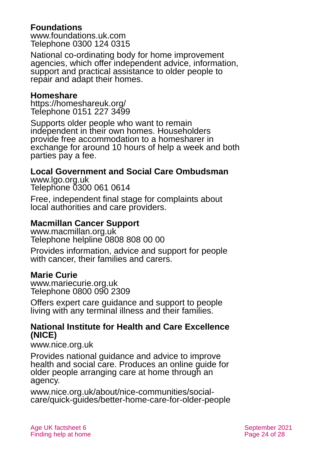#### **Foundations**

[www.foundations.uk.com](http://www.foundations.uk.com/) Telephone 0300 124 0315

National co-ordinating body for home improvement agencies, which offer independent advice, information, support and practical assistance to older people to repair and adapt their homes.

#### **Homeshare**

<https://homeshareuk.org/> Telephone 0151 227 3499

Supports older people who want to remain independent in their own homes. Householders provide free accommodation to a homesharer in exchange for around 10 hours of help a week and both parties pay a fee.

#### **Local Government and Social Care Ombudsman**

[www.lgo.org.uk](http://www.lgo.org.uk/) Telephone 0300 061 0614

Free, independent final stage for complaints about local authorities and care providers.

#### **Macmillan Cancer Support**

[www.macmillan.org.uk](http://www.macmillan.org.uk/) Telephone helpline 0808 808 00 00

Provides information, advice and support for people with cancer, their families and carers.

#### **Marie Curie**

[www.mariecurie.org.uk](http://www.mariecurie.org.uk/) Telephone 0800 090 2309

Offers expert care guidance and support to people living with any terminal illness and their families.

#### **National Institute for Health and Care Excellence (NICE)**

[www.nice.org.uk](http://www.nice.org.uk/)

Provides national guidance and advice to improve health and social care. Produces an online guide for older people arranging care at home through an agency.

[www.nice.org.uk/about/nice-communities/social](http://www.nice.org.uk/about/nice-communities/social-care/quick-guides/better-home-care-for-older-people)[care/quick-guides/better-home-care-for-older-people](http://www.nice.org.uk/about/nice-communities/social-care/quick-guides/better-home-care-for-older-people)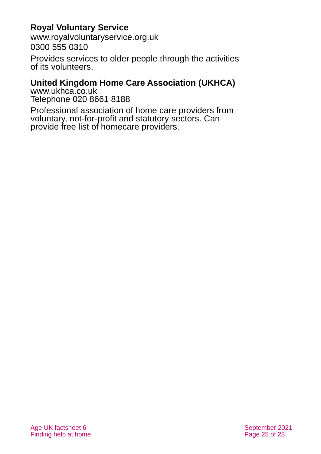## **Royal Voluntary Service**

[www.royalvoluntaryservice.org.uk](http://www.royalvoluntaryservice.org.uk/) 0300 555 0310

Provides services to older people through the activities of its volunteers.

### **United Kingdom Home Care Association (UKHCA)**

[www.ukhca.co.uk](http://www.ukhca.co.uk/) Telephone 020 8661 8188

Professional association of home care providers from voluntary, not-for-profit and statutory sectors. Can provide free list of homecare providers.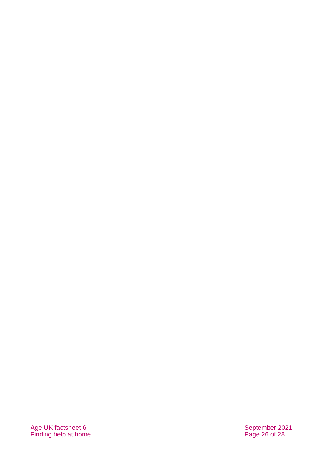Age UK factsheet Finding help at home **Page 26 of 28**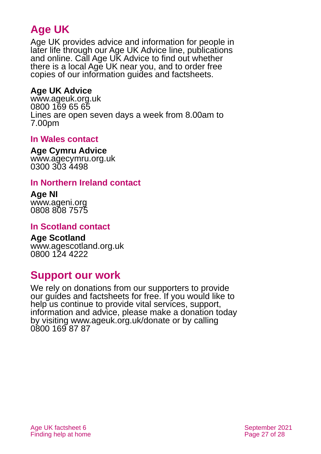## **Age UK**

Age UK provides advice and information for people in later life through our Age UK Advice line, publications and online. Call Age UK Advice to find out whether there is a local Age UK near you, and to order free copies of our information guides and factsheets.

### <span id="page-26-1"></span>**Age UK Advice**

[www.ageuk.org.uk](http://www.ageuk.org.uk/) 0800 169 65 65 Lines are open seven days a week from 8.00am to 7.00pm

#### **In Wales contact**

#### **Age Cymru Advice**

[www.agecymru.org.uk](http://www.agecymru.org.uk/) 0300 303 4498

#### <span id="page-26-0"></span>**In Northern Ireland contact**

#### **Age NI** [www.ageni.org](http://www.ageni.org/)

0808 808 7575

#### **In Scotland contact**

## <span id="page-26-2"></span>**Age Scotland**

[www.agescotland.org.uk](http://www.agescotland.org.uk/) 0800 124 4222

## **Support our work**

We rely on donations from our supporters to provide our guides and factsheets for free. If you would like to help us continue to provide vital services, support, information and advice, please make a donation today by visiting [www.ageuk.org.uk/donate](http://www.ageuk.org.uk/donate) or by calling 0800 169 87 87